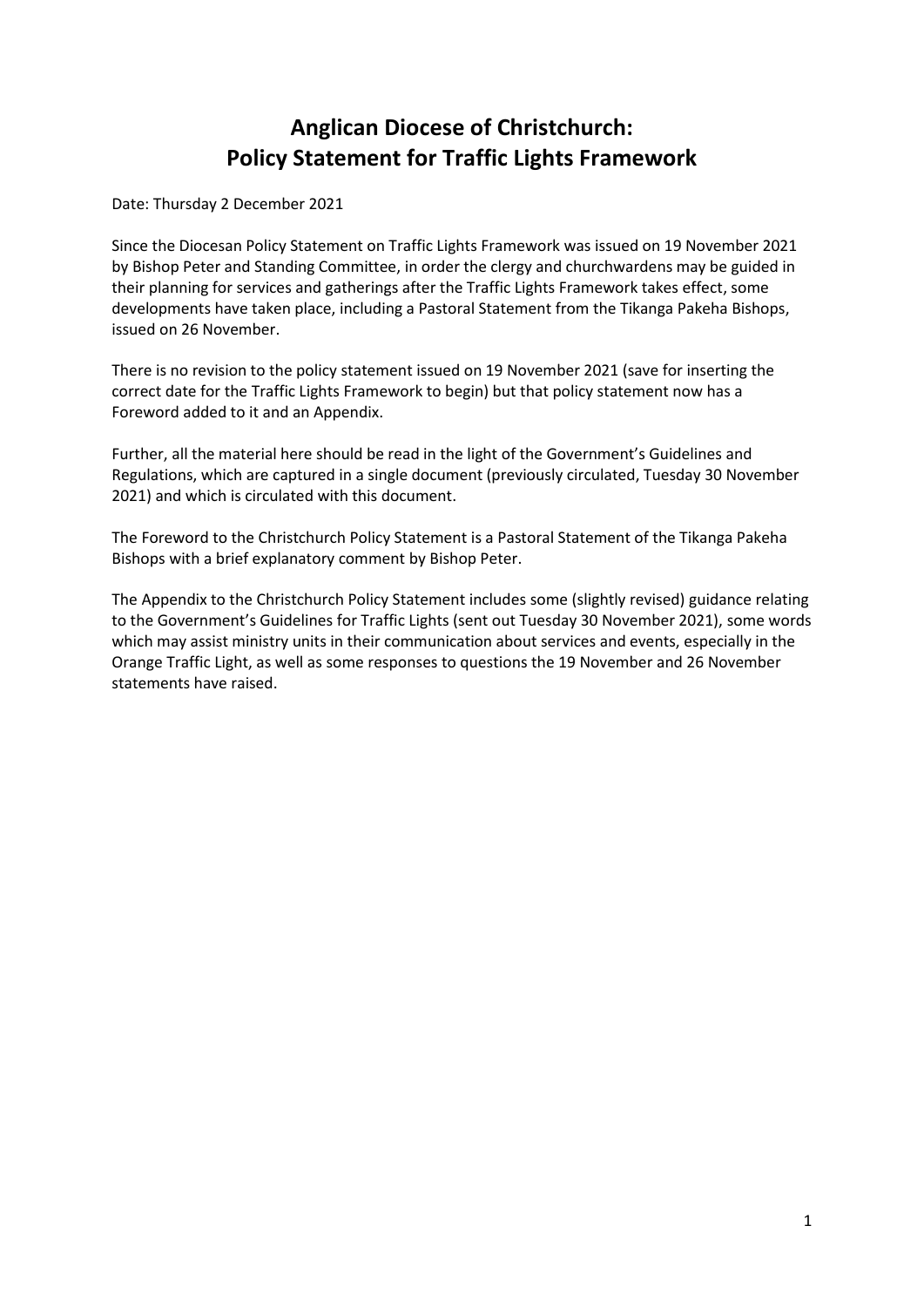## **Anglican Diocese of Christchurch: Policy Statement for Traffic Lights Framework**

Date: Thursday 2 December 2021

Since the Diocesan Policy Statement on Traffic Lights Framework was issued on 19 November 2021 by Bishop Peter and Standing Committee, in order the clergy and churchwardens may be guided in their planning for services and gatherings after the Traffic Lights Framework takes effect, some developments have taken place, including a Pastoral Statement from the Tikanga Pakeha Bishops, issued on 26 November.

There is no revision to the policy statement issued on 19 November 2021 (save for inserting the correct date for the Traffic Lights Framework to begin) but that policy statement now has a Foreword added to it and an Appendix.

Further, all the material here should be read in the light of the Government's Guidelines and Regulations, which are captured in a single document (previously circulated, Tuesday 30 November 2021) and which is circulated with this document.

The Foreword to the Christchurch Policy Statement is a Pastoral Statement of the Tikanga Pakeha Bishops with a brief explanatory comment by Bishop Peter.

The Appendix to the Christchurch Policy Statement includes some (slightly revised) guidance relating to the Government's Guidelines for Traffic Lights (sent out Tuesday 30 November 2021), some words which may assist ministry units in their communication about services and events, especially in the Orange Traffic Light, as well as some responses to questions the 19 November and 26 November statements have raised.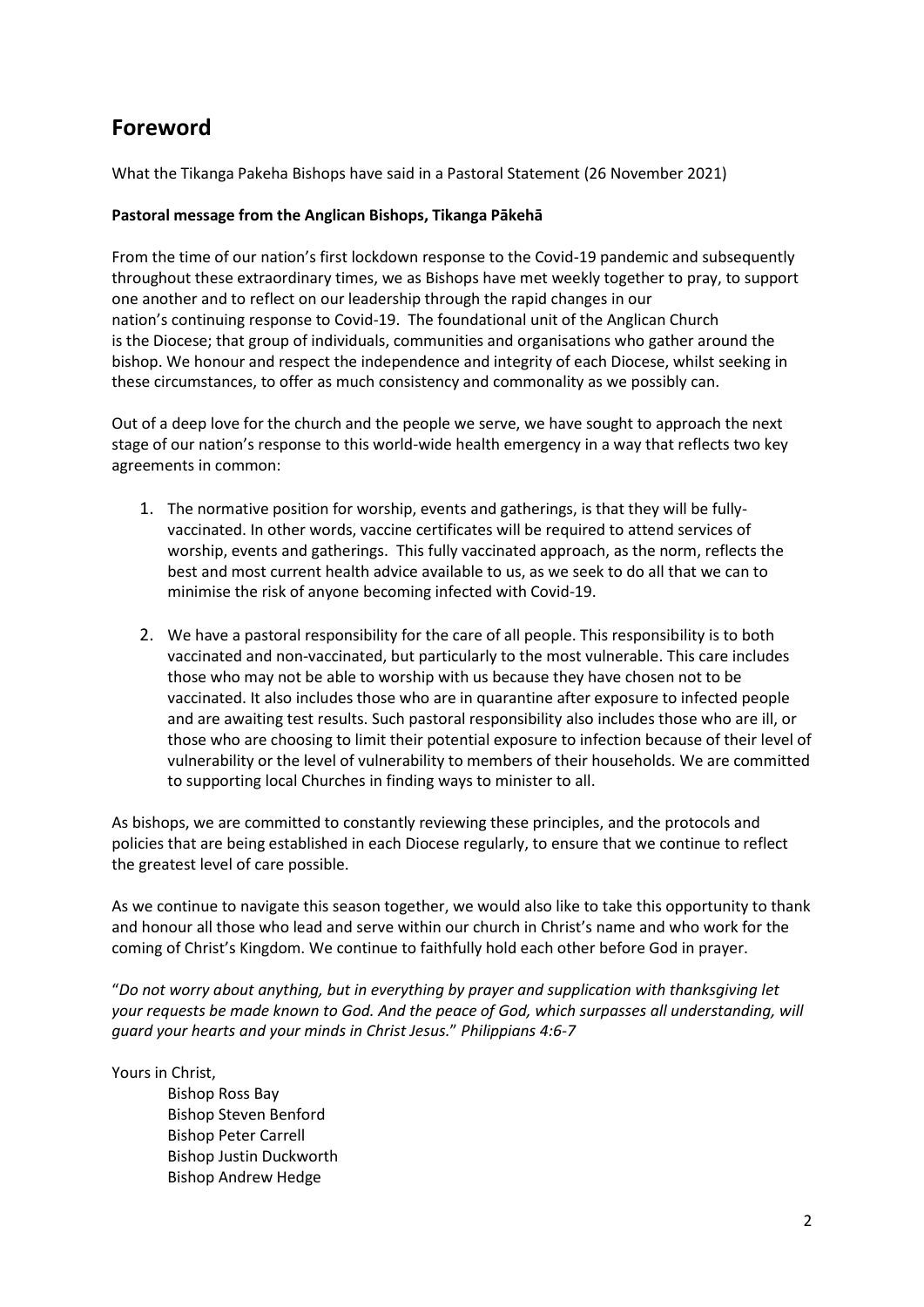### **Foreword**

What the Tikanga Pakeha Bishops have said in a Pastoral Statement (26 November 2021)

#### **Pastoral message from the Anglican Bishops, Tikanga Pākehā**

From the time of our nation's first lockdown response to the Covid-19 pandemic and subsequently throughout these extraordinary times, we as Bishops have met weekly together to pray, to support one another and to reflect on our leadership through the rapid changes in our nation's continuing response to Covid-19. The foundational unit of the Anglican Church is the Diocese; that group of individuals, communities and organisations who gather around the bishop. We honour and respect the independence and integrity of each Diocese, whilst seeking in these circumstances, to offer as much consistency and commonality as we possibly can.

Out of a deep love for the church and the people we serve, we have sought to approach the next stage of our nation's response to this world-wide health emergency in a way that reflects two key agreements in common:

- 1. The normative position for worship, events and gatherings, is that they will be fullyvaccinated. In other words, vaccine certificates will be required to attend services of worship, events and gatherings. This fully vaccinated approach, as the norm, reflects the best and most current health advice available to us, as we seek to do all that we can to minimise the risk of anyone becoming infected with Covid-19.
- 2. We have a pastoral responsibility for the care of all people. This responsibility is to both vaccinated and non-vaccinated, but particularly to the most vulnerable. This care includes those who may not be able to worship with us because they have chosen not to be vaccinated. It also includes those who are in quarantine after exposure to infected people and are awaiting test results. Such pastoral responsibility also includes those who are ill, or those who are choosing to limit their potential exposure to infection because of their level of vulnerability or the level of vulnerability to members of their households. We are committed to supporting local Churches in finding ways to minister to all.

As bishops, we are committed to constantly reviewing these principles, and the protocols and policies that are being established in each Diocese regularly, to ensure that we continue to reflect the greatest level of care possible.

As we continue to navigate this season together, we would also like to take this opportunity to thank and honour all those who lead and serve within our church in Christ's name and who work for the coming of Christ's Kingdom. We continue to faithfully hold each other before God in prayer.

"*Do not worry about anything, but in everything by prayer and supplication with thanksgiving let your requests be made known to God. And the peace of God, which surpasses all understanding, will guard your hearts and your minds in Christ Jesus.*" *Philippians 4:6-7*

Yours in Christ,

Bishop Ross Bay Bishop Steven Benford Bishop Peter Carrell Bishop Justin Duckworth Bishop Andrew Hedge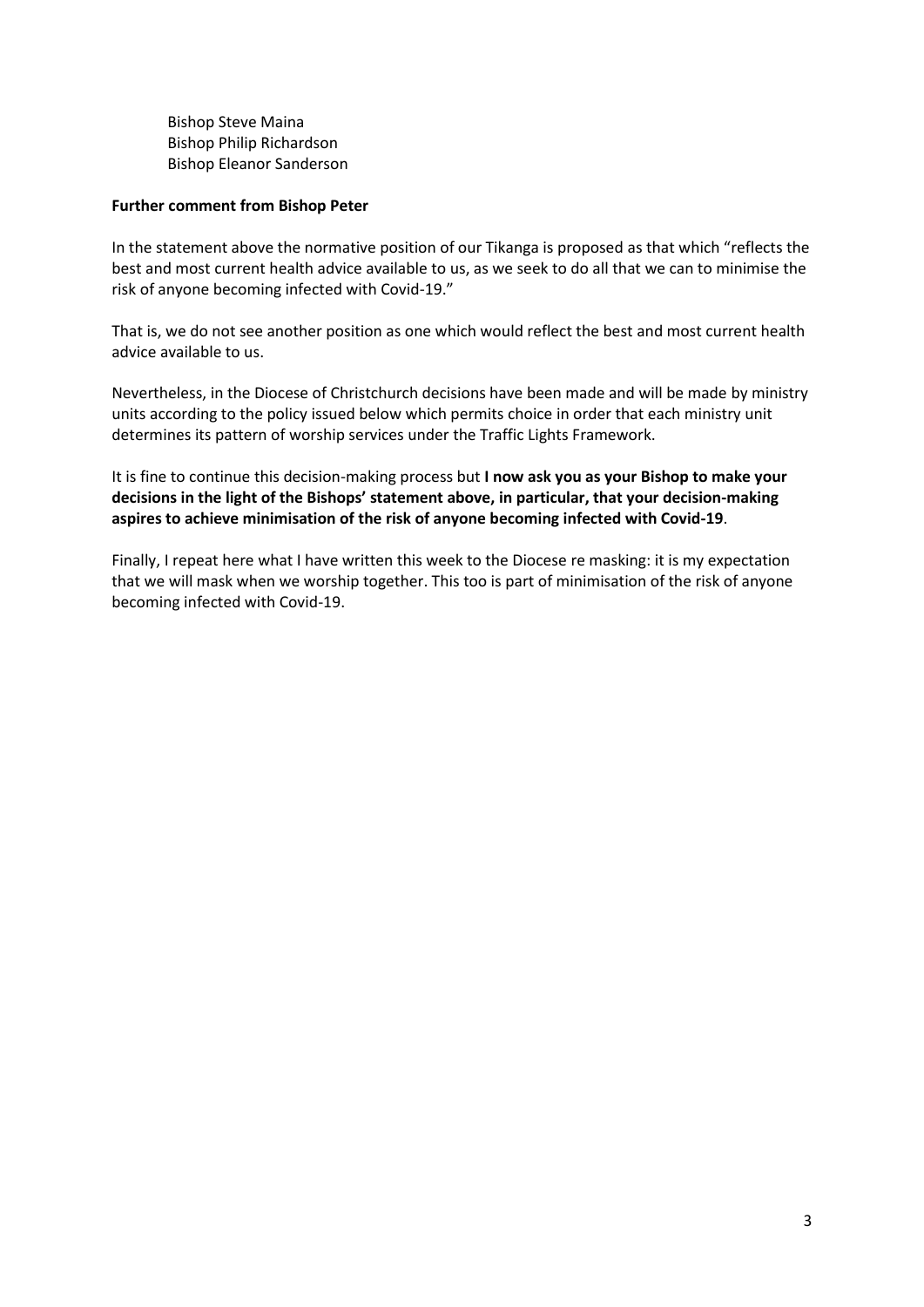Bishop Steve Maina Bishop Philip Richardson Bishop Eleanor Sanderson

#### **Further comment from Bishop Peter**

In the statement above the normative position of our Tikanga is proposed as that which "reflects the best and most current health advice available to us, as we seek to do all that we can to minimise the risk of anyone becoming infected with Covid-19."

That is, we do not see another position as one which would reflect the best and most current health advice available to us.

Nevertheless, in the Diocese of Christchurch decisions have been made and will be made by ministry units according to the policy issued below which permits choice in order that each ministry unit determines its pattern of worship services under the Traffic Lights Framework.

It is fine to continue this decision-making process but **I now ask you as your Bishop to make your decisions in the light of the Bishops' statement above, in particular, that your decision-making aspires to achieve minimisation of the risk of anyone becoming infected with Covid-19**.

Finally, I repeat here what I have written this week to the Diocese re masking: it is my expectation that we will mask when we worship together. This too is part of minimisation of the risk of anyone becoming infected with Covid-19.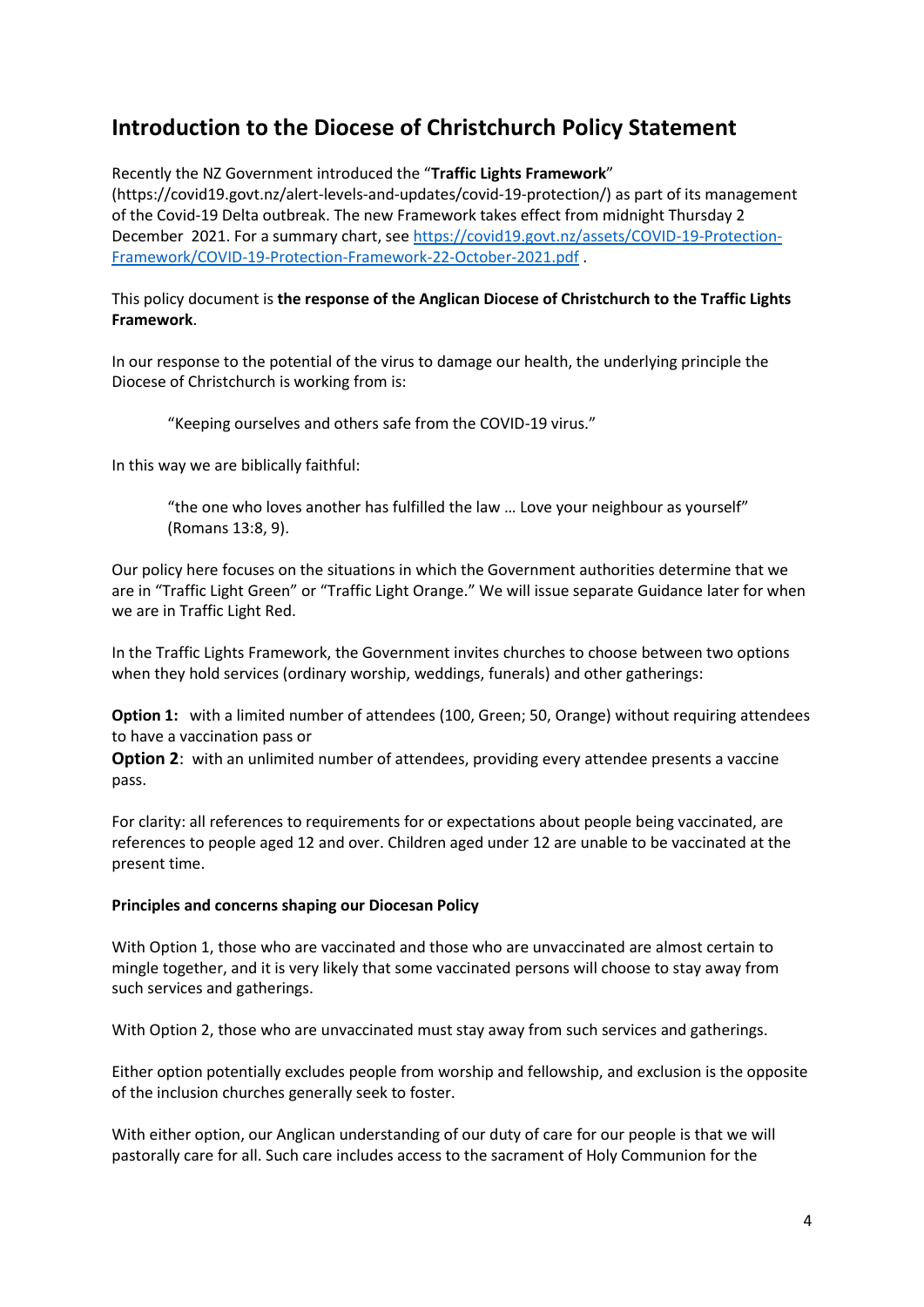### **Introduction to the Diocese of Christchurch Policy Statement**

Recently the NZ Government introduced the "**Traffic Lights Framework**"

(https://covid19.govt.nz/alert-levels-and-updates/covid-19-protection/) as part of its management of the Covid-19 Delta outbreak. The new Framework takes effect from midnight Thursday 2 December 2021. For a summary chart, see [https://covid19.govt.nz/assets/COVID-19-Protection-](https://covid19.govt.nz/assets/COVID-19-Protection-Framework/COVID-19-Protection-Framework-22-October-2021.pdf)[Framework/COVID-19-Protection-Framework-22-October-2021.pdf](https://covid19.govt.nz/assets/COVID-19-Protection-Framework/COVID-19-Protection-Framework-22-October-2021.pdf) .

#### This policy document is **the response of the Anglican Diocese of Christchurch to the Traffic Lights Framework**.

In our response to the potential of the virus to damage our health, the underlying principle the Diocese of Christchurch is working from is:

"Keeping ourselves and others safe from the COVID-19 virus."

In this way we are biblically faithful:

"the one who loves another has fulfilled the law … Love your neighbour as yourself" (Romans 13:8, 9).

Our policy here focuses on the situations in which the Government authorities determine that we are in "Traffic Light Green" or "Traffic Light Orange." We will issue separate Guidance later for when we are in Traffic Light Red.

In the Traffic Lights Framework, the Government invites churches to choose between two options when they hold services (ordinary worship, weddings, funerals) and other gatherings:

**Option 1:** with a limited number of attendees (100, Green; 50, Orange) without requiring attendees to have a vaccination pass or

**Option 2:** with an unlimited number of attendees, providing every attendee presents a vaccine pass.

For clarity: all references to requirements for or expectations about people being vaccinated, are references to people aged 12 and over. Children aged under 12 are unable to be vaccinated at the present time.

#### **Principles and concerns shaping our Diocesan Policy**

With Option 1, those who are vaccinated and those who are unvaccinated are almost certain to mingle together, and it is very likely that some vaccinated persons will choose to stay away from such services and gatherings.

With Option 2, those who are unvaccinated must stay away from such services and gatherings.

Either option potentially excludes people from worship and fellowship, and exclusion is the opposite of the inclusion churches generally seek to foster.

With either option, our Anglican understanding of our duty of care for our people is that we will pastorally care for all. Such care includes access to the sacrament of Holy Communion for the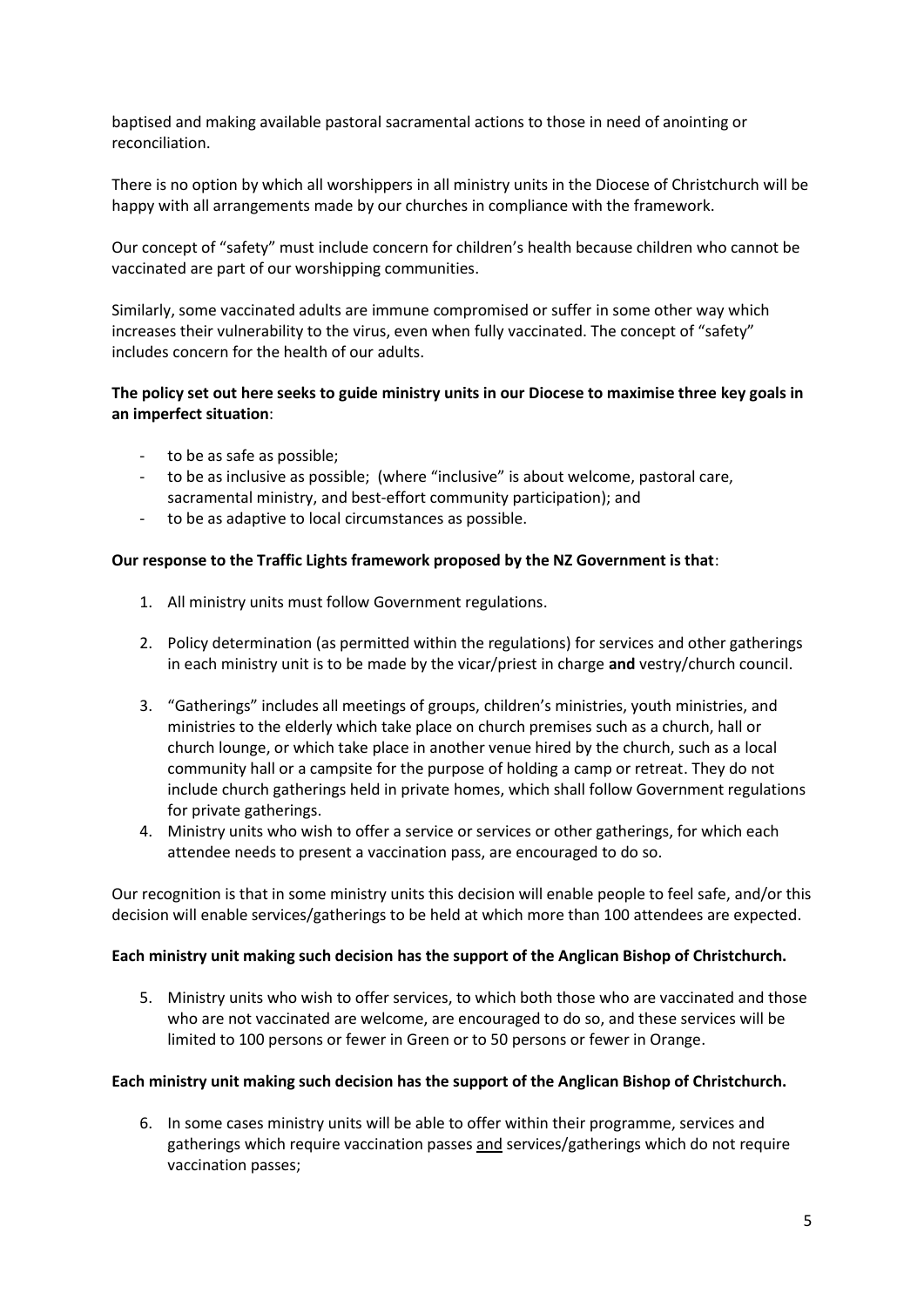baptised and making available pastoral sacramental actions to those in need of anointing or reconciliation.

There is no option by which all worshippers in all ministry units in the Diocese of Christchurch will be happy with all arrangements made by our churches in compliance with the framework.

Our concept of "safety" must include concern for children's health because children who cannot be vaccinated are part of our worshipping communities.

Similarly, some vaccinated adults are immune compromised or suffer in some other way which increases their vulnerability to the virus, even when fully vaccinated. The concept of "safety" includes concern for the health of our adults.

#### **The policy set out here seeks to guide ministry units in our Diocese to maximise three key goals in an imperfect situation**:

- to be as safe as possible;
- to be as inclusive as possible; (where "inclusive" is about welcome, pastoral care, sacramental ministry, and best-effort community participation); and
- to be as adaptive to local circumstances as possible.

#### **Our response to the Traffic Lights framework proposed by the NZ Government is that**:

- 1. All ministry units must follow Government regulations.
- 2. Policy determination (as permitted within the regulations) for services and other gatherings in each ministry unit is to be made by the vicar/priest in charge **and** vestry/church council.
- 3. "Gatherings" includes all meetings of groups, children's ministries, youth ministries, and ministries to the elderly which take place on church premises such as a church, hall or church lounge, or which take place in another venue hired by the church, such as a local community hall or a campsite for the purpose of holding a camp or retreat. They do not include church gatherings held in private homes, which shall follow Government regulations for private gatherings.
- 4. Ministry units who wish to offer a service or services or other gatherings, for which each attendee needs to present a vaccination pass, are encouraged to do so.

Our recognition is that in some ministry units this decision will enable people to feel safe, and/or this decision will enable services/gatherings to be held at which more than 100 attendees are expected.

#### **Each ministry unit making such decision has the support of the Anglican Bishop of Christchurch.**

5. Ministry units who wish to offer services, to which both those who are vaccinated and those who are not vaccinated are welcome, are encouraged to do so, and these services will be limited to 100 persons or fewer in Green or to 50 persons or fewer in Orange.

#### **Each ministry unit making such decision has the support of the Anglican Bishop of Christchurch.**

6. In some cases ministry units will be able to offer within their programme, services and gatherings which require vaccination passes and services/gatherings which do not require vaccination passes;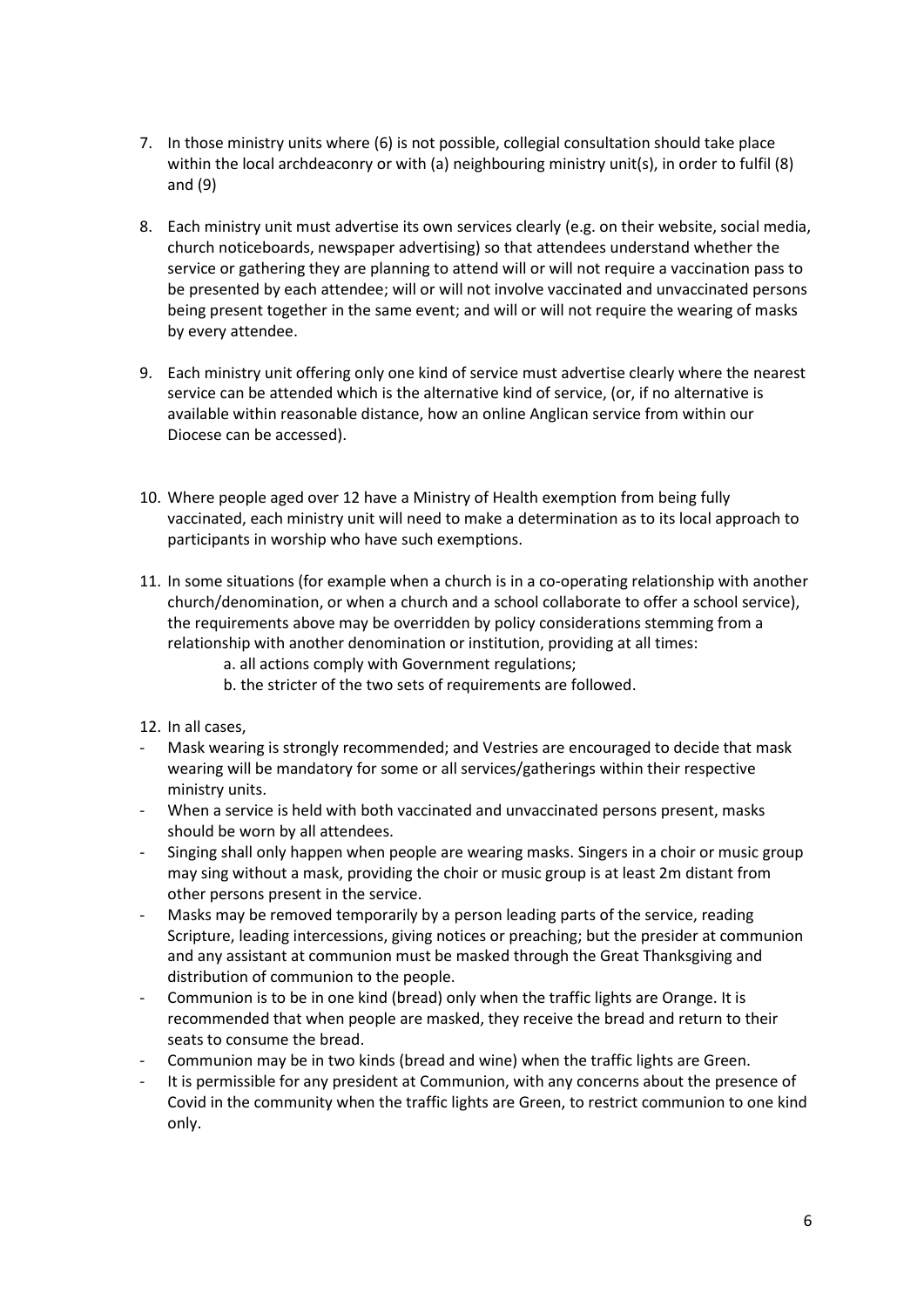- 7. In those ministry units where (6) is not possible, collegial consultation should take place within the local archdeaconry or with (a) neighbouring ministry unit(s), in order to fulfil (8) and (9)
- 8. Each ministry unit must advertise its own services clearly (e.g. on their website, social media, church noticeboards, newspaper advertising) so that attendees understand whether the service or gathering they are planning to attend will or will not require a vaccination pass to be presented by each attendee; will or will not involve vaccinated and unvaccinated persons being present together in the same event; and will or will not require the wearing of masks by every attendee.
- 9. Each ministry unit offering only one kind of service must advertise clearly where the nearest service can be attended which is the alternative kind of service, (or, if no alternative is available within reasonable distance, how an online Anglican service from within our Diocese can be accessed).
- 10. Where people aged over 12 have a Ministry of Health exemption from being fully vaccinated, each ministry unit will need to make a determination as to its local approach to participants in worship who have such exemptions.
- 11. In some situations (for example when a church is in a co-operating relationship with another church/denomination, or when a church and a school collaborate to offer a school service), the requirements above may be overridden by policy considerations stemming from a relationship with another denomination or institution, providing at all times:
	- a. all actions comply with Government regulations;
	- b. the stricter of the two sets of requirements are followed.
- 12. In all cases,
- Mask wearing is strongly recommended; and Vestries are encouraged to decide that mask wearing will be mandatory for some or all services/gatherings within their respective ministry units.
- When a service is held with both vaccinated and unvaccinated persons present, masks should be worn by all attendees.
- Singing shall only happen when people are wearing masks. Singers in a choir or music group may sing without a mask, providing the choir or music group is at least 2m distant from other persons present in the service.
- Masks may be removed temporarily by a person leading parts of the service, reading Scripture, leading intercessions, giving notices or preaching; but the presider at communion and any assistant at communion must be masked through the Great Thanksgiving and distribution of communion to the people.
- Communion is to be in one kind (bread) only when the traffic lights are Orange. It is recommended that when people are masked, they receive the bread and return to their seats to consume the bread.
- Communion may be in two kinds (bread and wine) when the traffic lights are Green.
- It is permissible for any president at Communion, with any concerns about the presence of Covid in the community when the traffic lights are Green, to restrict communion to one kind only.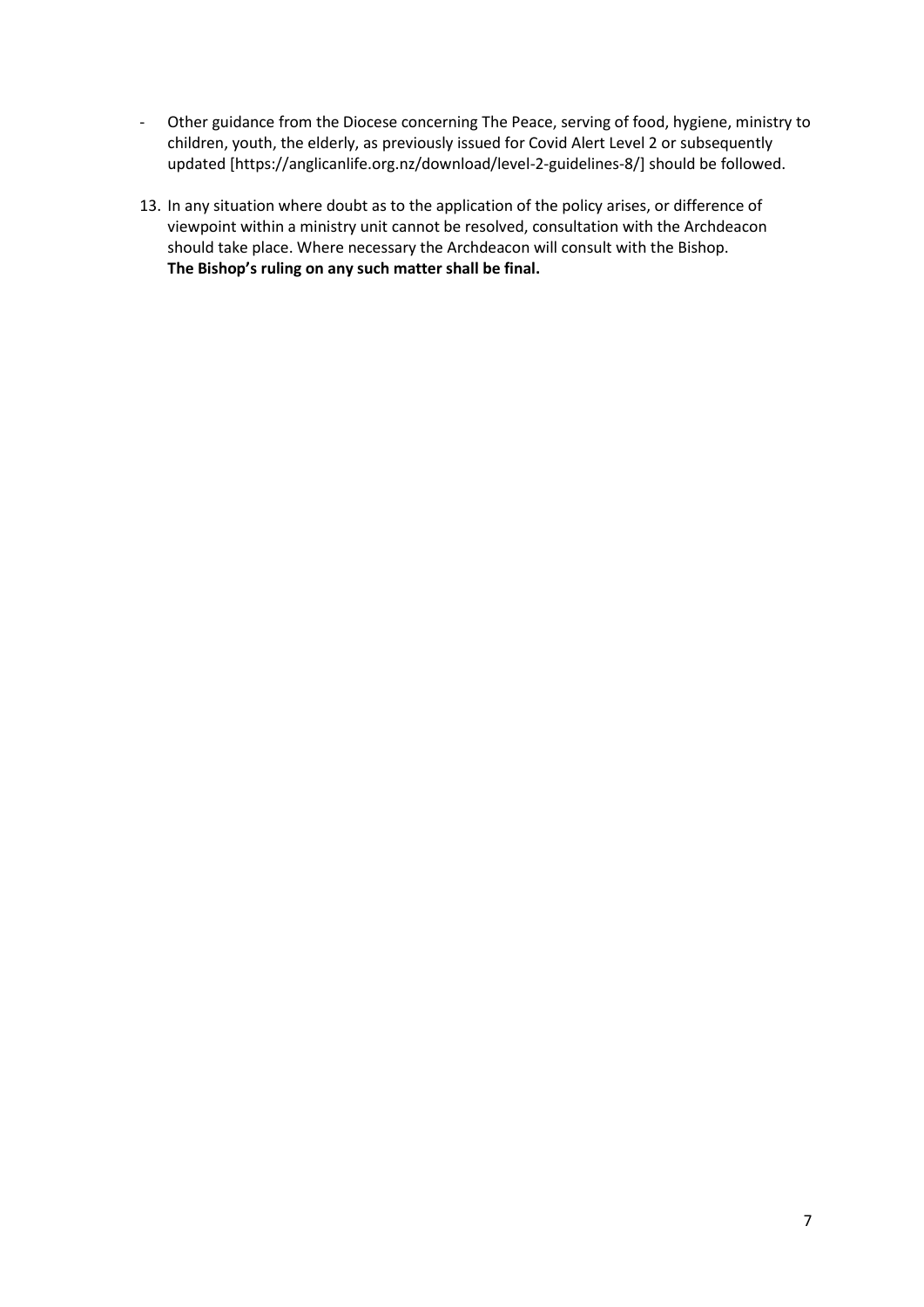- Other guidance from the Diocese concerning The Peace, serving of food, hygiene, ministry to children, youth, the elderly, as previously issued for Covid Alert Level 2 or subsequently updated [https://anglicanlife.org.nz/download/level-2-guidelines-8/] should be followed.
- 13. In any situation where doubt as to the application of the policy arises, or difference of viewpoint within a ministry unit cannot be resolved, consultation with the Archdeacon should take place. Where necessary the Archdeacon will consult with the Bishop. **The Bishop's ruling on any such matter shall be final.**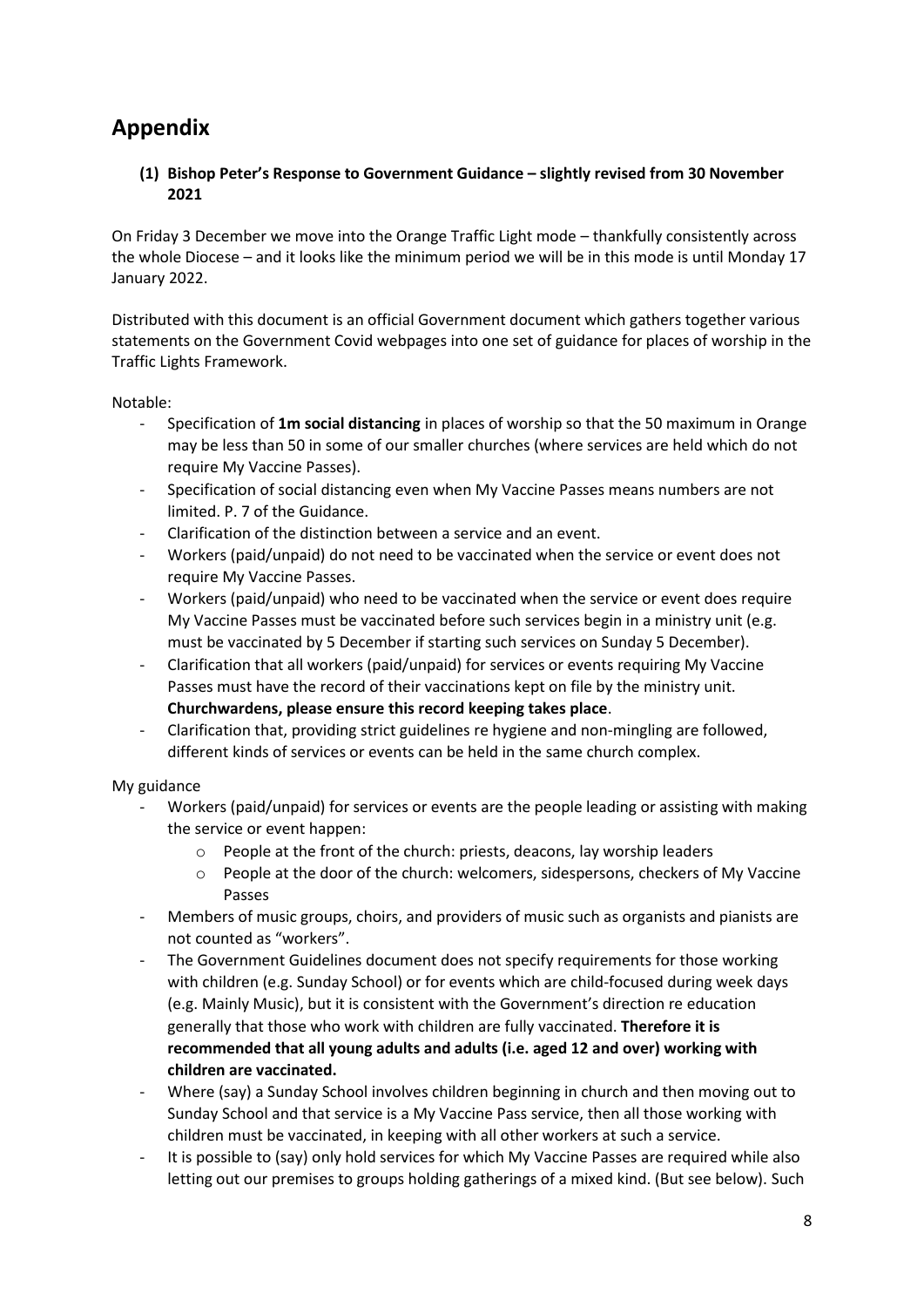## **Appendix**

#### **(1) Bishop Peter's Response to Government Guidance – slightly revised from 30 November 2021**

On Friday 3 December we move into the Orange Traffic Light mode – thankfully consistently across the whole Diocese – and it looks like the minimum period we will be in this mode is until Monday 17 January 2022.

Distributed with this document is an official Government document which gathers together various statements on the Government Covid webpages into one set of guidance for places of worship in the Traffic Lights Framework.

#### Notable:

- Specification of **1m social distancing** in places of worship so that the 50 maximum in Orange may be less than 50 in some of our smaller churches (where services are held which do not require My Vaccine Passes).
- Specification of social distancing even when My Vaccine Passes means numbers are not limited. P. 7 of the Guidance.
- Clarification of the distinction between a service and an event.
- Workers (paid/unpaid) do not need to be vaccinated when the service or event does not require My Vaccine Passes.
- Workers (paid/unpaid) who need to be vaccinated when the service or event does require My Vaccine Passes must be vaccinated before such services begin in a ministry unit (e.g. must be vaccinated by 5 December if starting such services on Sunday 5 December).
- Clarification that all workers (paid/unpaid) for services or events requiring My Vaccine Passes must have the record of their vaccinations kept on file by the ministry unit. **Churchwardens, please ensure this record keeping takes place**.
- Clarification that, providing strict guidelines re hygiene and non-mingling are followed, different kinds of services or events can be held in the same church complex.

#### My guidance

- Workers (paid/unpaid) for services or events are the people leading or assisting with making the service or event happen:
	- o People at the front of the church: priests, deacons, lay worship leaders
	- o People at the door of the church: welcomers, sidespersons, checkers of My Vaccine Passes
- Members of music groups, choirs, and providers of music such as organists and pianists are not counted as "workers".
- The Government Guidelines document does not specify requirements for those working with children (e.g. Sunday School) or for events which are child-focused during week days (e.g. Mainly Music), but it is consistent with the Government's direction re education generally that those who work with children are fully vaccinated. **Therefore it is recommended that all young adults and adults (i.e. aged 12 and over) working with children are vaccinated.**
- Where (say) a Sunday School involves children beginning in church and then moving out to Sunday School and that service is a My Vaccine Pass service, then all those working with children must be vaccinated, in keeping with all other workers at such a service.
- It is possible to (say) only hold services for which My Vaccine Passes are required while also letting out our premises to groups holding gatherings of a mixed kind. (But see below). Such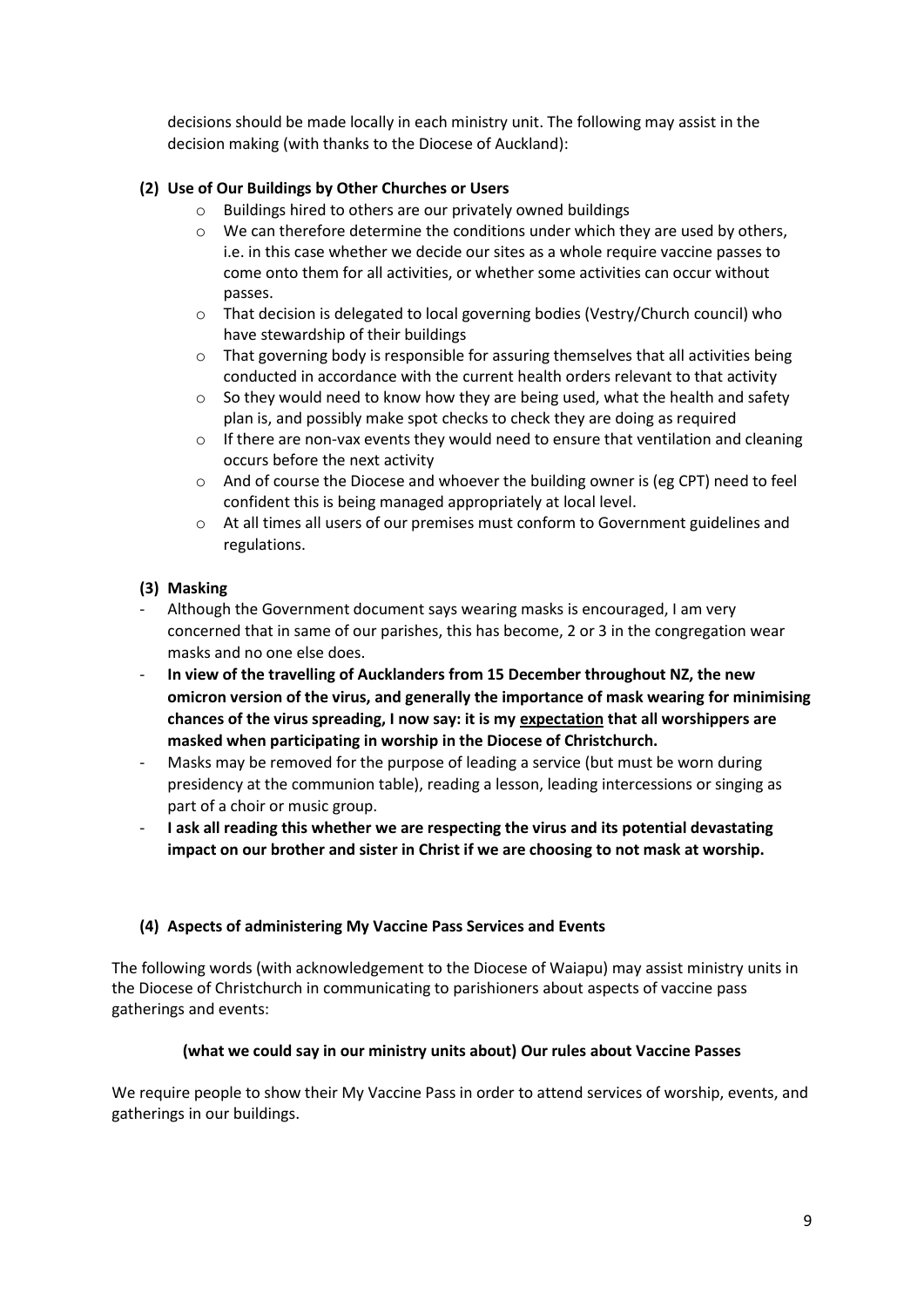decisions should be made locally in each ministry unit. The following may assist in the decision making (with thanks to the Diocese of Auckland):

#### **(2) Use of Our Buildings by Other Churches or Users**

- o Buildings hired to others are our privately owned buildings
- $\circ$  We can therefore determine the conditions under which they are used by others, i.e. in this case whether we decide our sites as a whole require vaccine passes to come onto them for all activities, or whether some activities can occur without passes.
- o That decision is delegated to local governing bodies (Vestry/Church council) who have stewardship of their buildings
- $\circ$  That governing body is responsible for assuring themselves that all activities being conducted in accordance with the current health orders relevant to that activity
- $\circ$  So they would need to know how they are being used, what the health and safety plan is, and possibly make spot checks to check they are doing as required
- $\circ$  If there are non-vax events they would need to ensure that ventilation and cleaning occurs before the next activity
- o And of course the Diocese and whoever the building owner is (eg CPT) need to feel confident this is being managed appropriately at local level.
- o At all times all users of our premises must conform to Government guidelines and regulations.

#### **(3) Masking**

- Although the Government document says wearing masks is encouraged, I am very concerned that in same of our parishes, this has become, 2 or 3 in the congregation wear masks and no one else does.
- **In view of the travelling of Aucklanders from 15 December throughout NZ, the new omicron version of the virus, and generally the importance of mask wearing for minimising chances of the virus spreading, I now say: it is my expectation that all worshippers are masked when participating in worship in the Diocese of Christchurch.**
- Masks may be removed for the purpose of leading a service (but must be worn during presidency at the communion table), reading a lesson, leading intercessions or singing as part of a choir or music group.
- **I ask all reading this whether we are respecting the virus and its potential devastating impact on our brother and sister in Christ if we are choosing to not mask at worship.**

#### **(4) Aspects of administering My Vaccine Pass Services and Events**

The following words (with acknowledgement to the Diocese of Waiapu) may assist ministry units in the Diocese of Christchurch in communicating to parishioners about aspects of vaccine pass gatherings and events:

#### **(what we could say in our ministry units about) Our rules about Vaccine Passes**

We require people to show their My Vaccine Pass in order to attend services of worship, events, and gatherings in our buildings.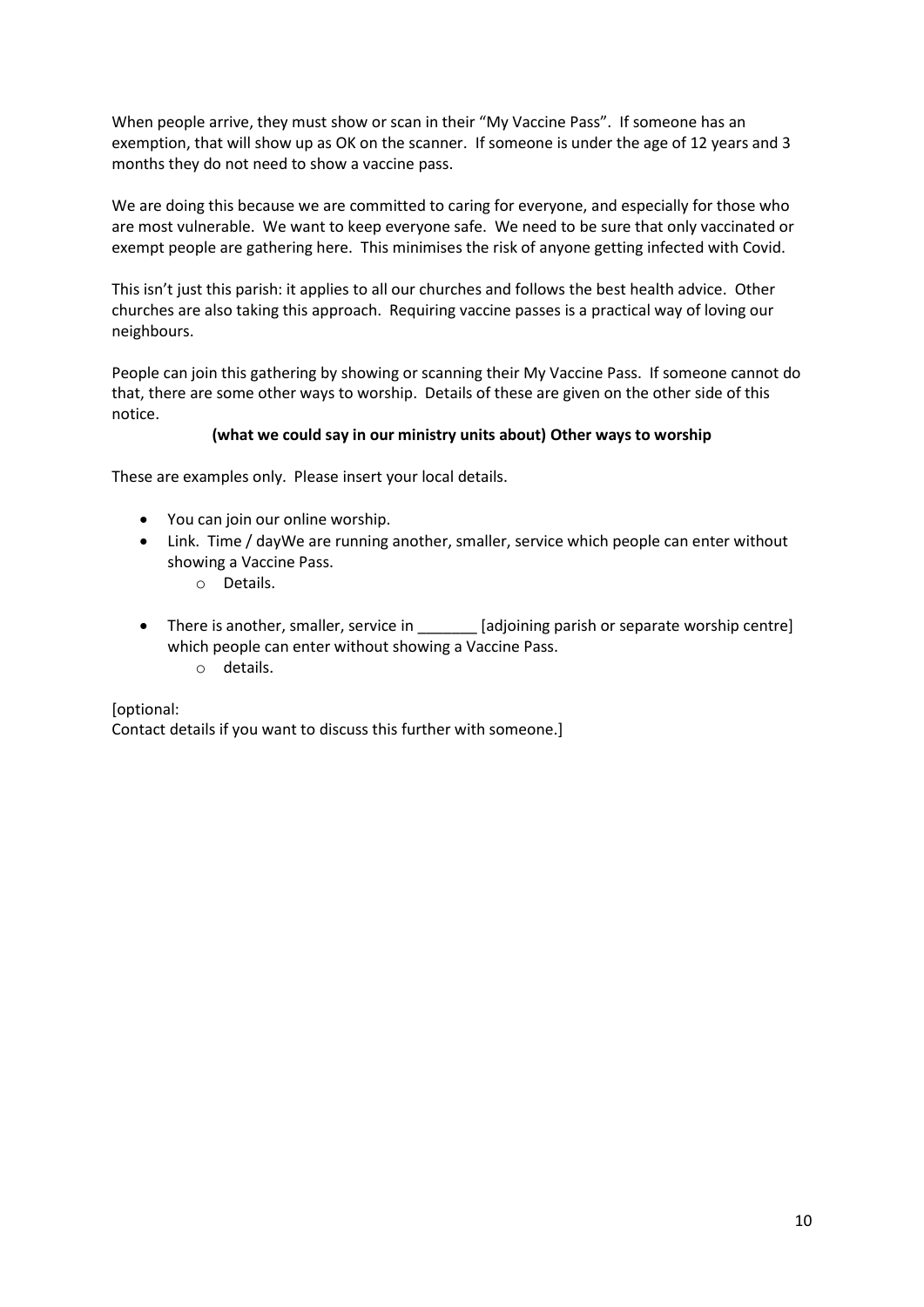When people arrive, they must show or scan in their "My Vaccine Pass". If someone has an exemption, that will show up as OK on the scanner. If someone is under the age of 12 years and 3 months they do not need to show a vaccine pass.

We are doing this because we are committed to caring for everyone, and especially for those who are most vulnerable. We want to keep everyone safe. We need to be sure that only vaccinated or exempt people are gathering here. This minimises the risk of anyone getting infected with Covid.

This isn't just this parish: it applies to all our churches and follows the best health advice. Other churches are also taking this approach. Requiring vaccine passes is a practical way of loving our neighbours.

People can join this gathering by showing or scanning their My Vaccine Pass. If someone cannot do that, there are some other ways to worship. Details of these are given on the other side of this notice.

#### **(what we could say in our ministry units about) Other ways to worship**

These are examples only. Please insert your local details.

- You can join our online worship.
- Link. Time / dayWe are running another, smaller, service which people can enter without showing a Vaccine Pass.
	- o Details.
- There is another, smaller, service in [adjoining parish or separate worship centre] which people can enter without showing a Vaccine Pass.
	- o details.

[optional:

Contact details if you want to discuss this further with someone.]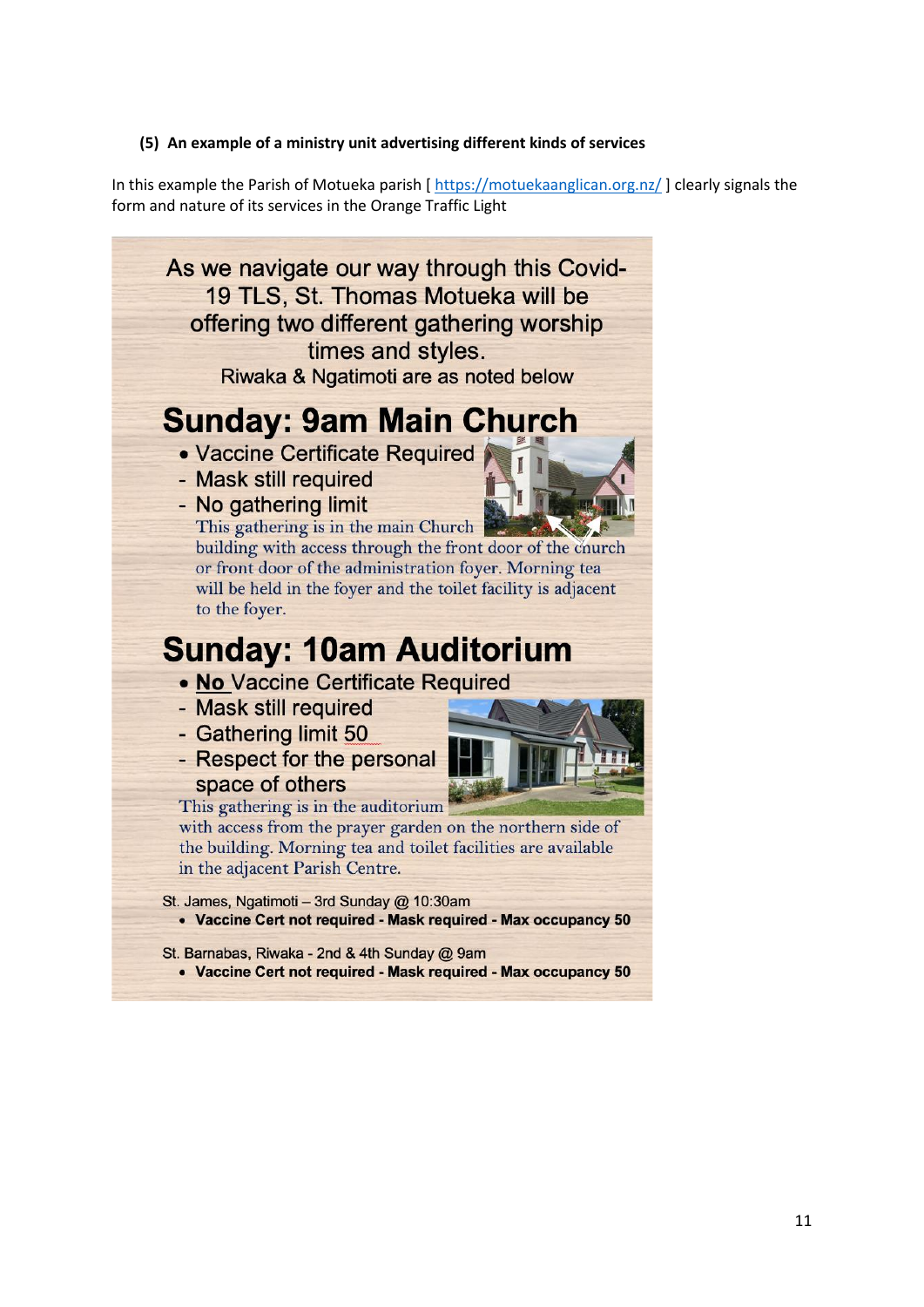#### **(5) An example of a ministry unit advertising different kinds of services**

In this example the Parish of Motueka parish [ <https://motuekaanglican.org.nz/> ] clearly signals the form and nature of its services in the Orange Traffic Light

As we navigate our way through this Covid-19 TLS, St. Thomas Motueka will be offering two different gathering worship times and styles. Riwaka & Ngatimoti are as noted below

# **Sunday: 9am Main Church**

- · Vaccine Certificate Required
- Mask still required
- No gathering limit



This gathering is in the main Church building with access through the front door of the church or front door of the administration foyer. Morning tea will be held in the foyer and the toilet facility is adjacent to the fover.

# **Sunday: 10am Auditorium**

- . No Vaccine Certificate Required
- Mask still required
- Gathering limit 50
- Respect for the personal space of others



This gathering is in the auditorium

with access from the prayer garden on the northern side of the building. Morning tea and toilet facilities are available in the adjacent Parish Centre.

- St. James, Ngatimoti 3rd Sunday @ 10:30am • Vaccine Cert not required - Mask required - Max occupancy 50
- St. Barnabas, Riwaka 2nd & 4th Sunday @ 9am
	- Vaccine Cert not required Mask required Max occupancy 50